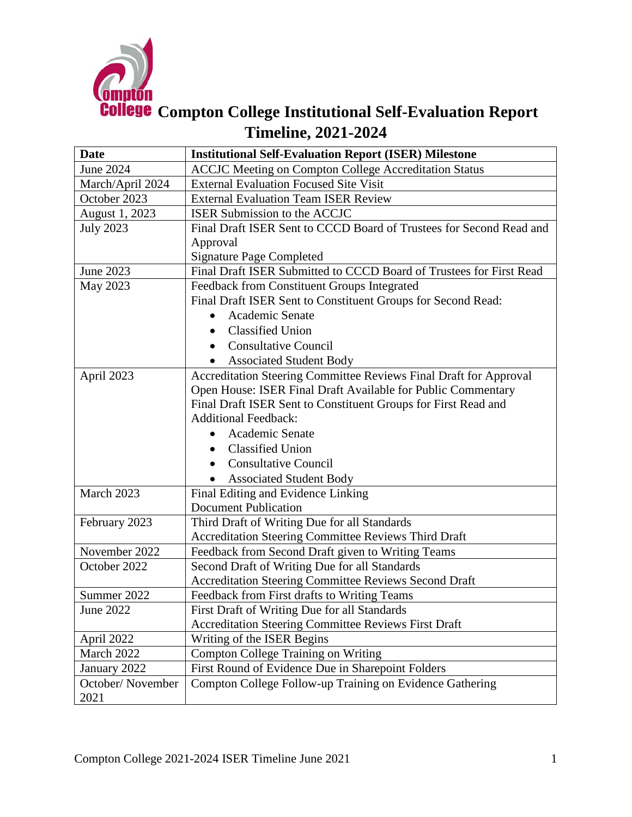

| <b>Date</b>      | <b>Institutional Self-Evaluation Report (ISER) Milestone</b>        |
|------------------|---------------------------------------------------------------------|
| <b>June 2024</b> | <b>ACCJC</b> Meeting on Compton College Accreditation Status        |
| March/April 2024 | <b>External Evaluation Focused Site Visit</b>                       |
| October 2023     | <b>External Evaluation Team ISER Review</b>                         |
| August 1, 2023   | ISER Submission to the ACCJC                                        |
| <b>July 2023</b> | Final Draft ISER Sent to CCCD Board of Trustees for Second Read and |
|                  | Approval                                                            |
|                  | <b>Signature Page Completed</b>                                     |
| June 2023        | Final Draft ISER Submitted to CCCD Board of Trustees for First Read |
| May 2023         | Feedback from Constituent Groups Integrated                         |
|                  | Final Draft ISER Sent to Constituent Groups for Second Read:        |
|                  | Academic Senate<br>$\bullet$                                        |
|                  | <b>Classified Union</b><br>$\bullet$                                |
|                  | <b>Consultative Council</b>                                         |
|                  | <b>Associated Student Body</b>                                      |
| April 2023       | Accreditation Steering Committee Reviews Final Draft for Approval   |
|                  | Open House: ISER Final Draft Available for Public Commentary        |
|                  | Final Draft ISER Sent to Constituent Groups for First Read and      |
|                  | <b>Additional Feedback:</b>                                         |
|                  | Academic Senate                                                     |
|                  | <b>Classified Union</b><br>$\bullet$                                |
|                  | <b>Consultative Council</b><br>$\bullet$                            |
|                  | <b>Associated Student Body</b>                                      |
| March 2023       | Final Editing and Evidence Linking                                  |
|                  | <b>Document Publication</b>                                         |
| February 2023    | Third Draft of Writing Due for all Standards                        |
|                  | <b>Accreditation Steering Committee Reviews Third Draft</b>         |
| November 2022    | Feedback from Second Draft given to Writing Teams                   |
| October 2022     | Second Draft of Writing Due for all Standards                       |
|                  | Accreditation Steering Committee Reviews Second Draft               |
| Summer 2022      | Feedback from First drafts to Writing Teams                         |
| <b>June 2022</b> | First Draft of Writing Due for all Standards                        |
|                  | <b>Accreditation Steering Committee Reviews First Draft</b>         |
| April 2022       | Writing of the ISER Begins                                          |
| March 2022       | Compton College Training on Writing                                 |
| January 2022     | First Round of Evidence Due in Sharepoint Folders                   |
| October/November | Compton College Follow-up Training on Evidence Gathering            |
| 2021             |                                                                     |